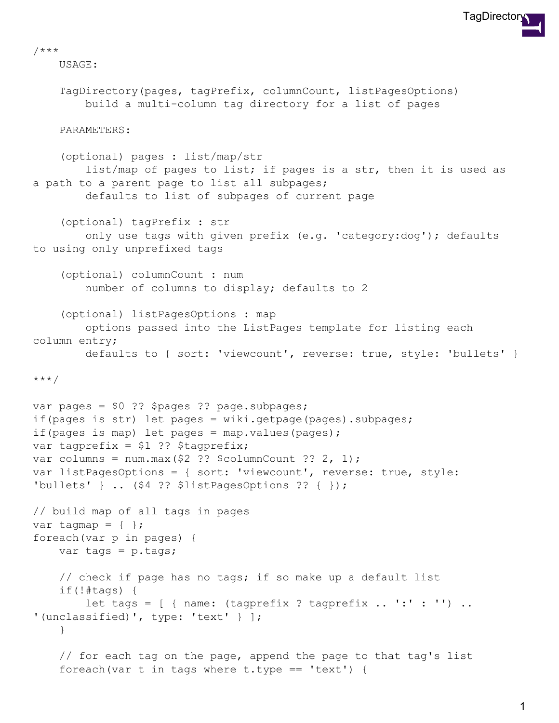

/\*\*\*

USAGE:

```
TagDirectory(pages, tagPrefix, columnCount, listPagesOptions)
        build a multi-column tag directory for a list of pages
    PARAMETERS:
    (optional) pages : list/map/str
        list/map of pages to list; if pages is a str, then it is used as
a path to a parent page to list all subpages;
        defaults to list of subpages of current page
    (optional) tagPrefix : str
        only use tags with given prefix (e.g. 'category:dog'); defaults
to using only unprefixed tags
    (optional) columnCount : num
        number of columns to display; defaults to 2
    (optional) listPagesOptions : map
        options passed into the ListPages template for listing each
column entry;
        defaults to { sort: 'viewcount', reverse: true, style: 'bullets' }
***/
var pages = $0 ?? $pages ?? page.subpages;
if(pages is str) let pages = wiki.getpage(pages).subpages;
if(pages is map) let pages = map.values(pages);
var tagprefix = $1 ?? $tagprefix;
var columns = num.max($2 ?? $columnCount ?? 2, 1);
var listPagesOptions = { sort: 'viewcount', reverse: true, style:
'bullets' } .. ($4 ?? $listPagesOptions ?? { });
// build map of all tags in pages
var tagmap = \{ \};
foreach(var p in pages) {
    var tags = p.tags;
    // check if page has no tags; if so make up a default list
    if(!#tags) {
        let tags = [ { name: (tagprefix ? tagprefix .. ':' : '') ..
'(unclassified)', type: 'text' } ];
    }
    // for each tag on the page, append the page to that tag's list
    foreach(var t in tags where t.type == 'text') {
```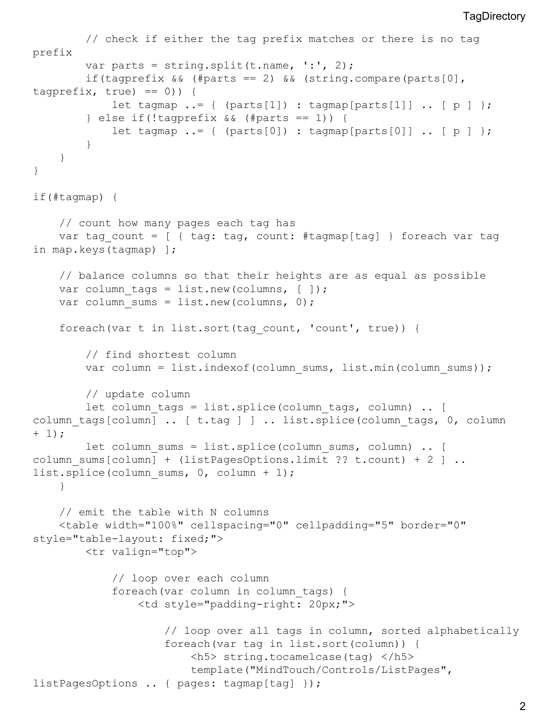```
// check if either the tag prefix matches or there is no tag
prefix
        var parts = string.split(t.name, ':', 2);
        if(tagprefix && (#parts == 2) && (string.compare(parts[0],
tagprefix, true) == 0) } {
            let tagmap \ldots = \{ (parts[1]) : tagmap[parts[1]] \ldots [ p ] };
        \} else if(!tagprefix && (#parts == 1)) {
            let tagmap := \{ (parts[0]) : tagmap[parts[0]] \ldots [ p ] };
        }
    }
}
if(#tagmap) {
    // count how many pages each tag has
    var tag count = [ { tag: tag, count: #tagmap[tag] } foreach var tag
in map.keys(tagmap) ];
    // balance columns so that their heights are as equal as possible
    var column tags = list.new(columns, [ ] );
    var column sums = list.new(columns, 0);
    foreach(var t in list.sort(tag_count, 'count', true)) {
        // find shortest column
        var column = list.indexof(column_sums, list.min(column_sums));
        // update column
        let column tags = list.splice(column tags, column) .. [
column tags[column] .. [ t.tag ] ] .. list.splice(column tags, 0, column
+ 1);let column sums = list.splice(column sums, column) .. [
column sums[column] + (listPagesOptions.limit ?? t.count) + 2 ] ..
list.splice(column sums, 0, column + 1);
    }
    // emit the table with N columns
    <table width="100%" cellspacing="0" cellpadding="5" border="0"
style="table-layout: fixed;">
        <tr valign="top">
            // loop over each column
            foreach(var column in column_tags) {
                <td style="padding-right: 20px;">
                    // loop over all tags in column, sorted alphabetically
                    foreach(var tag in list.sort(column)) {
                        <h5> string.tocamelcase(tag) </h5>
                        template("MindTouch/Controls/ListPages",
listPagesOptions .. { pages: tagmap[tag] });
```